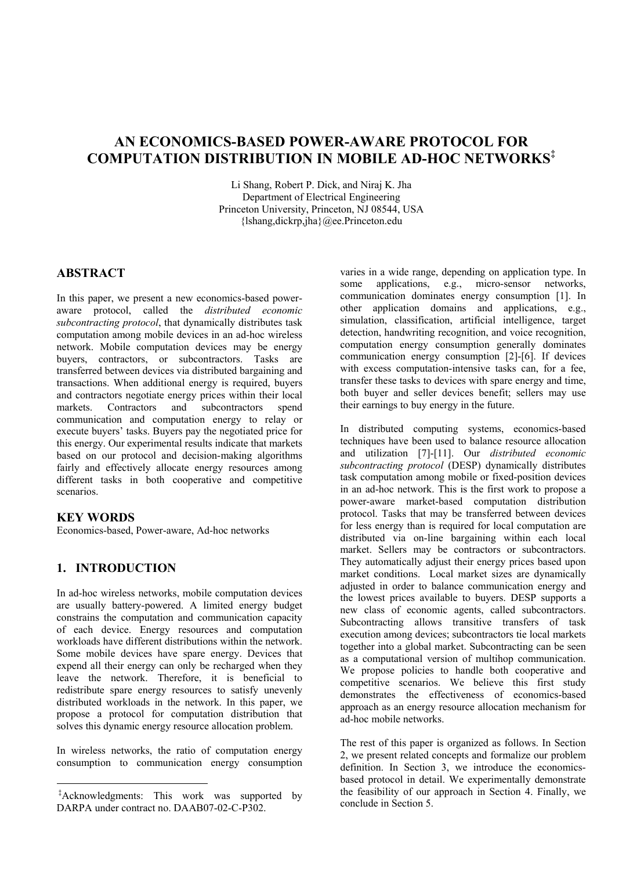# **AN ECONOMICS-BASED POWER-AWARE PROTOCOL FOR COMPUTATION DISTRIBUTION IN MOBILE AD-HOC NETWORKS‡**

Li Shang, Robert P. Dick, and Niraj K. Jha Department of Electrical Engineering Princeton University, Princeton, NJ 08544, USA {lshang,dickrp,jha}@ee.Princeton.edu

## **ABSTRACT**

In this paper, we present a new economics-based poweraware protocol, called the *distributed economic subcontracting protocol*, that dynamically distributes task computation among mobile devices in an ad-hoc wireless network. Mobile computation devices may be energy buyers, contractors, or subcontractors. Tasks are transferred between devices via distributed bargaining and transactions. When additional energy is required, buyers and contractors negotiate energy prices within their local<br>markets. Contractors and subcontractors spend markets. Contractors and subcontractors spend communication and computation energy to relay or execute buyers' tasks. Buyers pay the negotiated price for this energy. Our experimental results indicate that markets based on our protocol and decision-making algorithms fairly and effectively allocate energy resources among different tasks in both cooperative and competitive scenarios.

## **KEY WORDS**

Economics-based, Power-aware, Ad-hoc networks

## **1. INTRODUCTION**

In ad-hoc wireless networks, mobile computation devices are usually battery-powered. A limited energy budget constrains the computation and communication capacity of each device. Energy resources and computation workloads have different distributions within the network. Some mobile devices have spare energy. Devices that expend all their energy can only be recharged when they leave the network. Therefore, it is beneficial to redistribute spare energy resources to satisfy unevenly distributed workloads in the network. In this paper, we propose a protocol for computation distribution that solves this dynamic energy resource allocation problem.

In wireless networks, the ratio of computation energy consumption to communication energy consumption varies in a wide range, depending on application type. In some applications, e.g., micro-sensor networks, communication dominates energy consumption [1]. In other application domains and applications, e.g., simulation, classification, artificial intelligence, target detection, handwriting recognition, and voice recognition, computation energy consumption generally dominates communication energy consumption [2]-[6]. If devices with excess computation-intensive tasks can, for a fee, transfer these tasks to devices with spare energy and time, both buyer and seller devices benefit; sellers may use their earnings to buy energy in the future.

In distributed computing systems, economics-based techniques have been used to balance resource allocation and utilization [7]-[11]. Our *distributed economic subcontracting protocol* (DESP) dynamically distributes task computation among mobile or fixed-position devices in an ad-hoc network. This is the first work to propose a power-aware market-based computation distribution protocol. Tasks that may be transferred between devices for less energy than is required for local computation are distributed via on-line bargaining within each local market. Sellers may be contractors or subcontractors. They automatically adjust their energy prices based upon market conditions. Local market sizes are dynamically adjusted in order to balance communication energy and the lowest prices available to buyers. DESP supports a new class of economic agents, called subcontractors. Subcontracting allows transitive transfers of task execution among devices; subcontractors tie local markets together into a global market. Subcontracting can be seen as a computational version of multihop communication. We propose policies to handle both cooperative and competitive scenarios. We believe this first study demonstrates the effectiveness of economics-based approach as an energy resource allocation mechanism for ad-hoc mobile networks.

The rest of this paper is organized as follows. In Section 2, we present related concepts and formalize our problem definition. In Section 3, we introduce the economicsbased protocol in detail. We experimentally demonstrate the feasibility of our approach in Section 4. Finally, we conclude in Section 5.

<sup>-</sup> ‡Acknowledgments: This work was supported by DARPA under contract no. DAAB07-02-C-P302.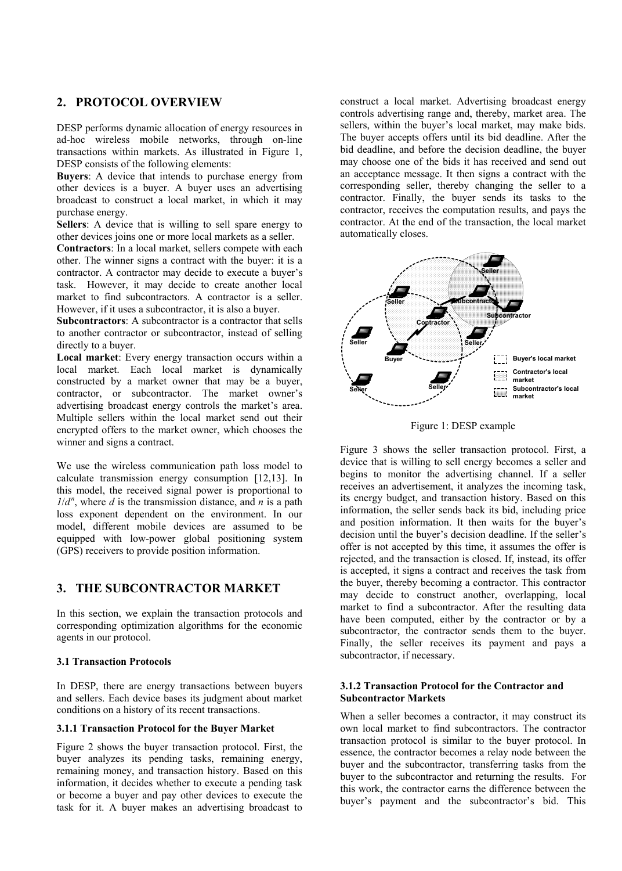## **2. PROTOCOL OVERVIEW**

DESP performs dynamic allocation of energy resources in ad-hoc wireless mobile networks, through on-line transactions within markets. As illustrated in Figure 1, DESP consists of the following elements:

**Buyers**: A device that intends to purchase energy from other devices is a buyer. A buyer uses an advertising broadcast to construct a local market, in which it may purchase energy.

**Sellers**: A device that is willing to sell spare energy to other devices joins one or more local markets as a seller.

**Contractors**: In a local market, sellers compete with each other. The winner signs a contract with the buyer: it is a contractor. A contractor may decide to execute a buyer's task. However, it may decide to create another local market to find subcontractors. A contractor is a seller. However, if it uses a subcontractor, it is also a buyer.

**Subcontractors**: A subcontractor is a contractor that sells to another contractor or subcontractor, instead of selling directly to a buyer.

**Local market**: Every energy transaction occurs within a local market. Each local market is dynamically constructed by a market owner that may be a buyer, contractor, or subcontractor. The market owner's advertising broadcast energy controls the market's area. Multiple sellers within the local market send out their encrypted offers to the market owner, which chooses the winner and signs a contract.

We use the wireless communication path loss model to calculate transmission energy consumption [12,13]. In this model, the received signal power is proportional to  $1/d^n$ , where *d* is the transmission distance, and *n* is a path loss exponent dependent on the environment. In our model, different mobile devices are assumed to be equipped with low-power global positioning system (GPS) receivers to provide position information.

## **3. THE SUBCONTRACTOR MARKET**

In this section, we explain the transaction protocols and corresponding optimization algorithms for the economic agents in our protocol.

### **3.1 Transaction Protocols**

In DESP, there are energy transactions between buyers and sellers. Each device bases its judgment about market conditions on a history of its recent transactions.

#### **3.1.1 Transaction Protocol for the Buyer Market**

Figure 2 shows the buyer transaction protocol. First, the buyer analyzes its pending tasks, remaining energy, remaining money, and transaction history. Based on this information, it decides whether to execute a pending task or become a buyer and pay other devices to execute the task for it. A buyer makes an advertising broadcast to

construct a local market. Advertising broadcast energy controls advertising range and, thereby, market area. The sellers, within the buyer's local market, may make bids. The buyer accepts offers until its bid deadline. After the bid deadline, and before the decision deadline, the buyer may choose one of the bids it has received and send out an acceptance message. It then signs a contract with the corresponding seller, thereby changing the seller to a contractor. Finally, the buyer sends its tasks to the contractor, receives the computation results, and pays the contractor. At the end of the transaction, the local market automatically closes.





Figure 3 shows the seller transaction protocol. First, a device that is willing to sell energy becomes a seller and begins to monitor the advertising channel. If a seller receives an advertisement, it analyzes the incoming task, its energy budget, and transaction history. Based on this information, the seller sends back its bid, including price and position information. It then waits for the buyer's decision until the buyer's decision deadline. If the seller's offer is not accepted by this time, it assumes the offer is rejected, and the transaction is closed. If, instead, its offer is accepted, it signs a contract and receives the task from the buyer, thereby becoming a contractor. This contractor may decide to construct another, overlapping, local market to find a subcontractor. After the resulting data have been computed, either by the contractor or by a subcontractor, the contractor sends them to the buyer. Finally, the seller receives its payment and pays a subcontractor, if necessary.

### **3.1.2 Transaction Protocol for the Contractor and Subcontractor Markets**

When a seller becomes a contractor, it may construct its own local market to find subcontractors. The contractor transaction protocol is similar to the buyer protocol. In essence, the contractor becomes a relay node between the buyer and the subcontractor, transferring tasks from the buyer to the subcontractor and returning the results. For this work, the contractor earns the difference between the buyer's payment and the subcontractor's bid. This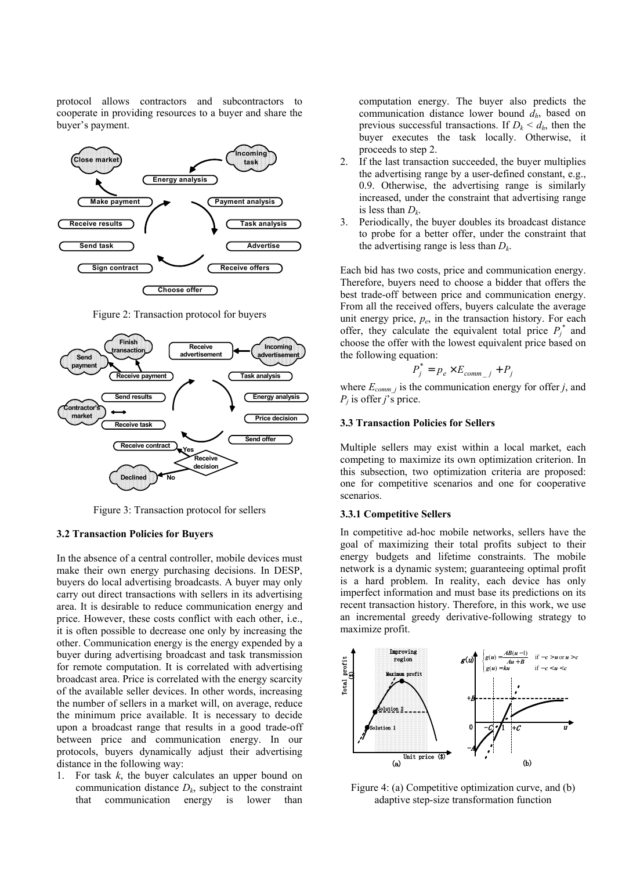protocol allows contractors and subcontractors to cooperate in providing resources to a buyer and share the buyer's payment.



Figure 2: Transaction protocol for buyers



Figure 3: Transaction protocol for sellers

### **3.2 Transaction Policies for Buyers**

In the absence of a central controller, mobile devices must make their own energy purchasing decisions. In DESP, buyers do local advertising broadcasts. A buyer may only carry out direct transactions with sellers in its advertising area. It is desirable to reduce communication energy and price. However, these costs conflict with each other, i.e., it is often possible to decrease one only by increasing the other. Communication energy is the energy expended by a buyer during advertising broadcast and task transmission for remote computation. It is correlated with advertising broadcast area. Price is correlated with the energy scarcity of the available seller devices. In other words, increasing the number of sellers in a market will, on average, reduce the minimum price available. It is necessary to decide upon a broadcast range that results in a good trade-off between price and communication energy. In our protocols, buyers dynamically adjust their advertising distance in the following way:

1. For task *k*, the buyer calculates an upper bound on communication distance  $D_k$ , subject to the constraint that communication energy is lower than

computation energy. The buyer also predicts the communication distance lower bound *dh*, based on previous successful transactions. If  $D_k < d_h$ , then the buyer executes the task locally. Otherwise, it proceeds to step 2.

- 2. If the last transaction succeeded, the buyer multiplies the advertising range by a user-defined constant, e.g., 0.9. Otherwise, the advertising range is similarly increased, under the constraint that advertising range is less than *D<sup>k</sup>* .
- 3. Periodically, the buyer doubles its broadcast distance to probe for a better offer, under the constraint that the advertising range is less than *D<sup>k</sup>* .

Each bid has two costs, price and communication energy. Therefore, buyers need to choose a bidder that offers the best trade-off between price and communication energy. From all the received offers, buyers calculate the average unit energy price,  $p_e$ , in the transaction history. For each offer, they calculate the equivalent total price  $P_j^*$  and choose the offer with the lowest equivalent price based on the following equation:

$$
P_j^* = p_e \times E_{comm_j} + P_j
$$

where  $E_{comm}$  *j* is the communication energy for offer *j*, and *Pj* is offer *j*'s price.

#### **3.3 Transaction Policies for Sellers**

Multiple sellers may exist within a local market, each competing to maximize its own optimization criterion. In this subsection, two optimization criteria are proposed: one for competitive scenarios and one for cooperative scenarios.

## **3.3.1 Competitive Sellers**

In competitive ad-hoc mobile networks, sellers have the goal of maximizing their total profits subject to their energy budgets and lifetime constraints. The mobile network is a dynamic system; guaranteeing optimal profit is a hard problem. In reality, each device has only imperfect information and must base its predictions on its recent transaction history. Therefore, in this work, we use an incremental greedy derivative-following strategy to maximize profit.



Figure 4: (a) Competitive optimization curve, and (b) adaptive step-size transformation function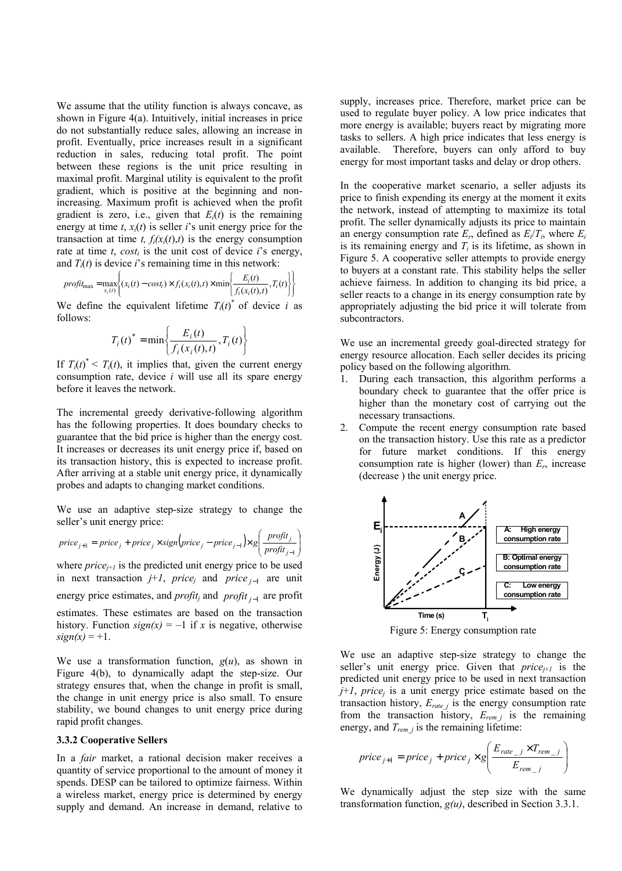We assume that the utility function is always concave, as shown in Figure 4(a). Intuitively, initial increases in price do not substantially reduce sales, allowing an increase in profit. Eventually, price increases result in a significant reduction in sales, reducing total profit. The point between these regions is the unit price resulting in maximal profit. Marginal utility is equivalent to the profit gradient, which is positive at the beginning and nonincreasing. Maximum profit is achieved when the profit gradient is zero, i.e., given that  $E_i(t)$  is the remaining energy at time  $t$ ,  $x_i(t)$  is seller *i*'s unit energy price for the transaction at time *t*,  $f_i(x_i(t),t)$  is the energy consumption rate at time  $t$ ,  $cost_i$  is the unit cost of device  $i$ 's energy, and  $T_i(t)$  is device *i*'s remaining time in this network:

$$
profit_{\max} = \max_{x_i(t)} \left\{ (x_i(t) - cost_i) \times f_i(x_i(t), t) \times \min \left\{ \frac{E_i(t)}{f_i(x_i(t), t)}, T_i(t) \right\} \right\}
$$

We define the equivalent lifetime  $T_i(t)$ <sup>\*</sup> of device *i* as follows:

$$
T_i(t)^* = \min\left\{\frac{E_i(t)}{f_i(x_i(t),t)}, T_i(t)\right\}
$$

If  $T_i(t)^* \leq T_i(t)$ , it implies that, given the current energy consumption rate, device *i* will use all its spare energy before it leaves the network.

The incremental greedy derivative-following algorithm has the following properties. It does boundary checks to guarantee that the bid price is higher than the energy cost. It increases or decreases its unit energy price if, based on its transaction history, this is expected to increase profit. After arriving at a stable unit energy price, it dynamically probes and adapts to changing market conditions.

We use an adaptive step-size strategy to change the seller's unit energy price:

$$
price_{j+1} = price_j + price_j \times sign(price_j - price_{j-1}) \times g\left(\frac{profit_j}{profit_{j-1}}\right)
$$

where  $price_{i+1}$  is the predicted unit energy price to be used in next transaction  $j+1$ ,  $price_j$  and  $price_{j-1}$  are unit energy price estimates, and *profit<sup>j</sup>* and *profit <sup>j</sup>*−<sup>1</sup> are profit estimates. These estimates are based on the transaction history. Function  $sign(x) = -1$  if x is negative, otherwise  $sign(x) = +1$ .

We use a transformation function,  $g(u)$ , as shown in Figure 4(b), to dynamically adapt the step-size. Our strategy ensures that, when the change in profit is small, the change in unit energy price is also small. To ensure stability, we bound changes to unit energy price during rapid profit changes.

#### **3.3.2 Cooperative Sellers**

In a *fair* market, a rational decision maker receives a quantity of service proportional to the amount of money it spends. DESP can be tailored to optimize fairness. Within a wireless market, energy price is determined by energy supply and demand. An increase in demand, relative to

supply, increases price. Therefore, market price can be used to regulate buyer policy. A low price indicates that more energy is available; buyers react by migrating more tasks to sellers. A high price indicates that less energy is available. Therefore, buyers can only afford to buy energy for most important tasks and delay or drop others.

In the cooperative market scenario, a seller adjusts its price to finish expending its energy at the moment it exits the network, instead of attempting to maximize its total profit. The seller dynamically adjusts its price to maintain an energy consumption rate  $E_r$ , defined as  $E_i/T_i$ , where  $E_i$ is its remaining energy and  $T_i$  is its lifetime, as shown in Figure 5. A cooperative seller attempts to provide energy to buyers at a constant rate. This stability helps the seller achieve fairness. In addition to changing its bid price, a seller reacts to a change in its energy consumption rate by appropriately adjusting the bid price it will tolerate from subcontractors.

We use an incremental greedy goal-directed strategy for energy resource allocation. Each seller decides its pricing policy based on the following algorithm.

- 1. During each transaction, this algorithm performs a boundary check to guarantee that the offer price is higher than the monetary cost of carrying out the necessary transactions.
- 2. Compute the recent energy consumption rate based on the transaction history. Use this rate as a predictor for future market conditions. If this energy consumption rate is higher (lower) than  $E_r$ , increase (decrease ) the unit energy price.



We use an adaptive step-size strategy to change the seller's unit energy price. Given that  $price_{i+1}$  is the predicted unit energy price to be used in next transaction *j*+*1*, *price<sup>j</sup>* is a unit energy price estimate based on the transaction history,  $E_{ratej}$  is the energy consumption rate from the transaction history,  $E_{remj}$  is the remaining energy, and *Trem\_j* is the remaining lifetime:

$$
price_{j+1} = price_j + price_j \times g\left(\frac{E_{rate\_j} \times T_{rem\_j}}{E_{rem\_j}}\right)
$$

We dynamically adjust the step size with the same transformation function, *g(u)*, described in Section 3.3.1.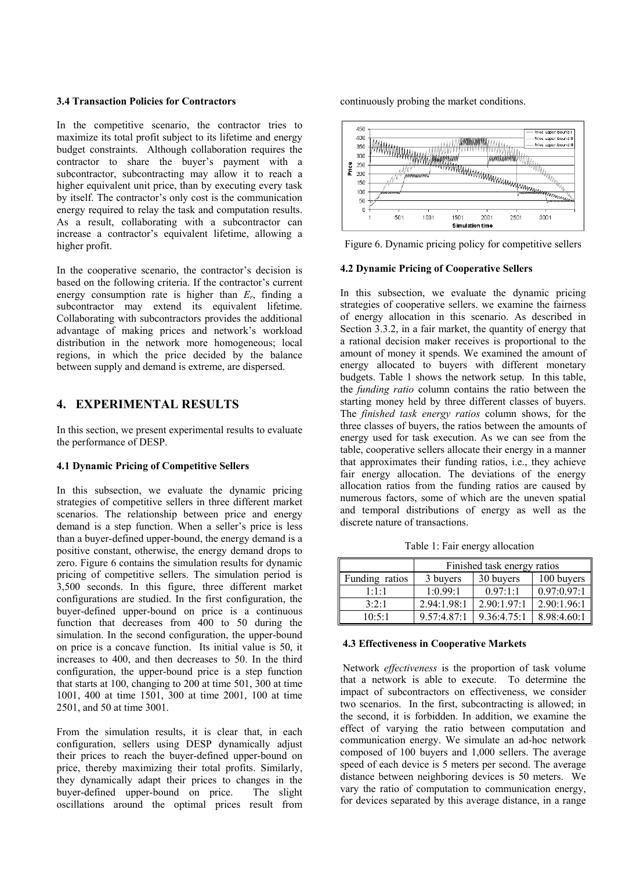#### **3.4 Transaction Policies for Contractors**

In the competitive scenario, the contractor tries to maximize its total profit subject to its lifetime and energy budget constraints. Although collaboration requires the contractor to share the buyer's payment with a subcontractor, subcontracting may allow it to reach a higher equivalent unit price, than by executing every task by itself. The contractor's only cost is the communication energy required to relay the task and computation results. As a result, collaborating with a subcontractor can increase a contractor's equivalent lifetime, allowing a higher profit.

In the cooperative scenario, the contractor's decision is based on the following criteria. If the contractor's current energy consumption rate is higher than  $E_r$ , finding a subcontractor may extend its equivalent lifetime. Collaborating with subcontractors provides the additional advantage of making prices and network's workload distribution in the network more homogeneous; local regions, in which the price decided by the balance between supply and demand is extreme, are dispersed.

## **4. EXPERIMENTAL RESULTS**

In this section, we present experimental results to evaluate the performance of DESP.

#### **4.1 Dynamic Pricing of Competitive Sellers**

In this subsection, we evaluate the dynamic pricing strategies of competitive sellers in three different market scenarios. The relationship between price and energy demand is a step function. When a seller's price is less than a buyer-defined upper-bound, the energy demand is a positive constant, otherwise, the energy demand drops to zero. Figure 6 contains the simulation results for dynamic pricing of competitive sellers. The simulation period is 3,500 seconds. In this figure, three different market configurations are studied. In the first configuration, the buyer-defined upper-bound on price is a continuous function that decreases from 400 to 50 during the simulation. In the second configuration, the upper-bound on price is a concave function. Its initial value is 50, it increases to 400, and then decreases to 50. In the third configuration, the upper-bound price is a step function that starts at 100, changing to 200 at time 501, 300 at time 1001, 400 at time 1501, 300 at time 2001, 100 at time 2501, and 50 at time 3001.

From the simulation results, it is clear that, in each configuration, sellers using DESP dynamically adjust their prices to reach the buyer-defined upper-bound on price, thereby maximizing their total profits. Similarly, they dynamically adapt their prices to changes in the buyer-defined upper-bound on price. The slight oscillations around the optimal prices result from

continuously probing the market conditions.



Figure 6. Dynamic pricing policy for competitive sellers

#### **4.2 Dynamic Pricing of Cooperative Sellers**

In this subsection, we evaluate the dynamic pricing strategies of cooperative sellers. we examine the fairness of energy allocation in this scenario. As described in Section 3.3.2, in a fair market, the quantity of energy that a rational decision maker receives is proportional to the amount of money it spends. We examined the amount of energy allocated to buyers with different monetary budgets. Table 1 shows the network setup. In this table, the *funding ratio* column contains the ratio between the starting money held by three different classes of buyers. The *finished task energy ratios* column shows, for the three classes of buyers, the ratios between the amounts of energy used for task execution. As we can see from the table, cooperative sellers allocate their energy in a manner that approximates their funding ratios, i.e., they achieve fair energy allocation. The deviations of the energy allocation ratios from the funding ratios are caused by numerous factors, some of which are the uneven spatial and temporal distributions of energy as well as the discrete nature of transactions.

|                | Finished task energy ratios |             |             |
|----------------|-----------------------------|-------------|-------------|
| Funding ratios | 3 buyers                    | 30 buyers   | 100 buyers  |
| 1:1:1          | 1:0.99:1                    | 0.97:1:1    | 0.97:0.97:1 |
| 3:2:1          | 2.94:1.98:1                 | 2.90:1.97:1 | 2.90:1.96:1 |
| 10:5:1         | 9.57:4.87:1                 | 9.36:4.75:1 | 8.98:4.60:1 |

#### **4.3 Effectiveness in Cooperative Markets**

 Network *effectiveness* is the proportion of task volume that a network is able to execute. To determine the impact of subcontractors on effectiveness, we consider two scenarios. In the first, subcontracting is allowed; in the second, it is forbidden. In addition, we examine the effect of varying the ratio between computation and communication energy. We simulate an ad-hoc network composed of 100 buyers and 1,000 sellers. The average speed of each device is 5 meters per second. The average distance between neighboring devices is 50 meters. We vary the ratio of computation to communication energy, for devices separated by this average distance, in a range